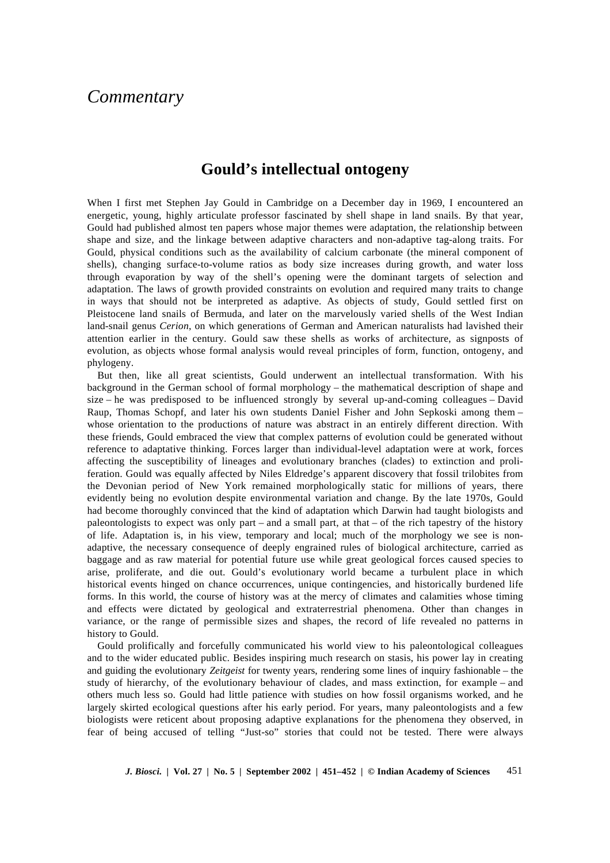## *Commentary*

## **Gould's intellectual ontogeny**

When I first met Stephen Jay Gould in Cambridge on a December day in 1969, I encountered an energetic, young, highly articulate professor fascinated by shell shape in land snails. By that year, Gould had published almost ten papers whose major themes were adaptation, the relationship between shape and size, and the linkage between adaptive characters and non-adaptive tag-along traits. For Gould, physical conditions such as the availability of calcium carbonate (the mineral component of shells), changing surface-to-volume ratios as body size increases during growth, and water loss through evaporation by way of the shell's opening were the dominant targets of selection and adaptation. The laws of growth provided constraints on evolution and required many traits to change in ways that should not be interpreted as adaptive. As objects of study, Gould settled first on Pleistocene land snails of Bermuda, and later on the marvelously varied shells of the West Indian land-snail genus *Cerion*, on which generations of German and American naturalists had lavished their attention earlier in the century. Gould saw these shells as works of architecture, as signposts of evolution, as objects whose formal analysis would reveal principles of form, function, ontogeny, and phylogeny.

But then, like all great scientists, Gould underwent an intellectual transformation. With his background in the German school of formal morphology – the mathematical description of shape and size – he was predisposed to be influenced strongly by several up-and-coming colleagues – David Raup, Thomas Schopf, and later his own students Daniel Fisher and John Sepkoski among them – whose orientation to the productions of nature was abstract in an entirely different direction. With these friends, Gould embraced the view that complex patterns of evolution could be generated without reference to adaptative thinking. Forces larger than individual-level adaptation were at work, forces affecting the susceptibility of lineages and evolutionary branches (clades) to extinction and proliferation. Gould was equally affected by Niles Eldredge's apparent discovery that fossil trilobites from the Devonian period of New York remained morphologically static for millions of years, there evidently being no evolution despite environmental variation and change. By the late 1970s, Gould had become thoroughly convinced that the kind of adaptation which Darwin had taught biologists and paleontologists to expect was only part – and a small part, at that – of the rich tapestry of the history of life. Adaptation is, in his view, temporary and local; much of the morphology we see is nonadaptive, the necessary consequence of deeply engrained rules of biological architecture, carried as baggage and as raw material for potential future use while great geological forces caused species to arise, proliferate, and die out. Gould's evolutionary world became a turbulent place in which historical events hinged on chance occurrences, unique contingencies, and historically burdened life forms. In this world, the course of history was at the mercy of climates and calamities whose timing and effects were dictated by geological and extraterrestrial phenomena. Other than changes in variance, or the range of permissible sizes and shapes, the record of life revealed no patterns in history to Gould.

Gould prolifically and forcefully communicated his world view to his paleontological colleagues and to the wider educated public. Besides inspiring much research on stasis, his power lay in creating and guiding the evolutionary *Zeitgeist* for twenty years, rendering some lines of inquiry fashionable – the study of hierarchy, of the evolutionary behaviour of clades, and mass extinction, for example – and others much less so. Gould had little patience with studies on how fossil organisms worked, and he largely skirted ecological questions after his early period. For years, many paleontologists and a few biologists were reticent about proposing adaptive explanations for the phenomena they observed, in fear of being accused of telling "Just-so" stories that could not be tested. There were always